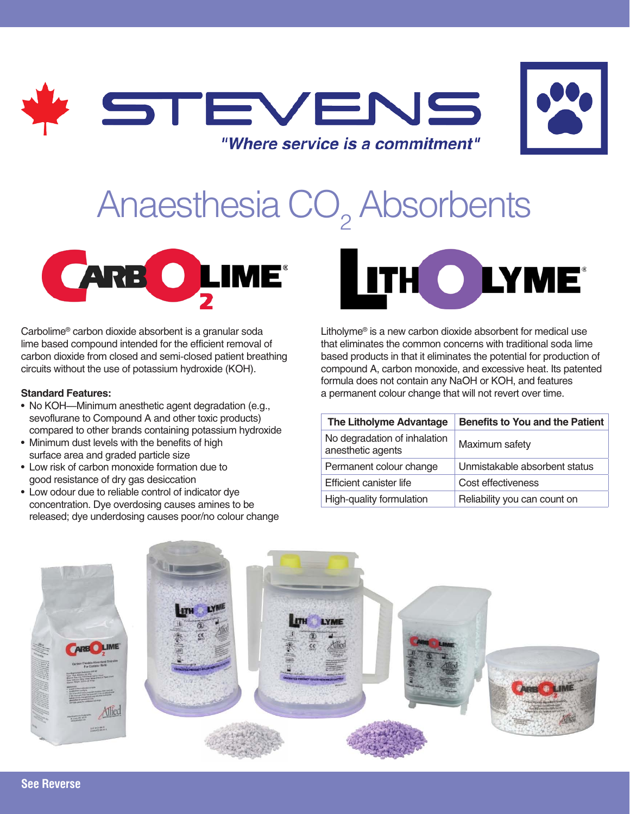



# Anaesthesia CO<sub>2</sub> Absorbents



Carbolime® carbon dioxide absorbent is a granular soda lime based compound intended for the efficient removal of carbon dioxide from closed and semi-closed patient breathing circuits without the use of potassium hydroxide (KOH).

#### **Standard Features:**

- No KOH—Minimum anesthetic agent degradation (e.g., sevoflurane to Compound A and other toxic products) compared to other brands containing potassium hydroxide
- Minimum dust levels with the benefits of high surface area and graded particle size
- Low risk of carbon monoxide formation due to good resistance of dry gas desiccation
- Low odour due to reliable control of indicator dye concentration. Dye overdosing causes amines to be released; dye underdosing causes poor/no colour change



Litholyme® is a new carbon dioxide absorbent for medical use that eliminates the common concerns with traditional soda lime based products in that it eliminates the potential for production of compound A, carbon monoxide, and excessive heat. Its patented formula does not contain any NaOH or KOH, and features a permanent colour change that will not revert over time.

| The Litholyme Advantage                           | <b>Benefits to You and the Patient</b> |
|---------------------------------------------------|----------------------------------------|
| No degradation of inhalation<br>anesthetic agents | Maximum safety                         |
| Permanent colour change                           | Unmistakable absorbent status          |
| Efficient canister life                           | Cost effectiveness                     |
| High-quality formulation                          | Reliability you can count on           |